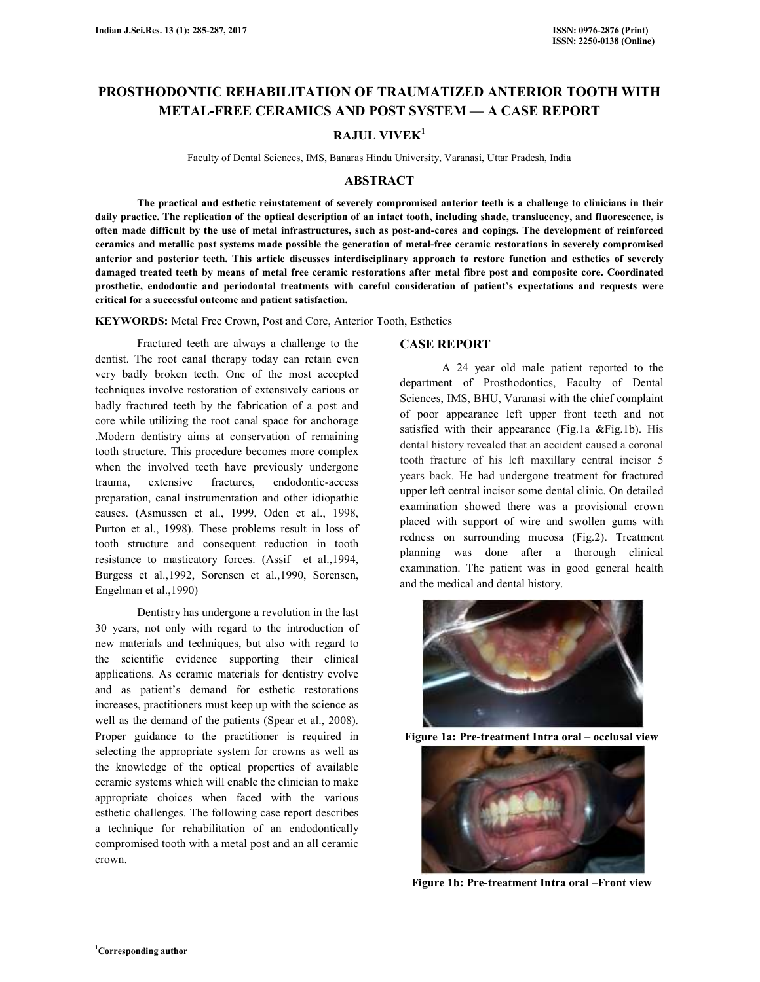# **PROSTHODONTIC REHABILITATION OF TRAUMATIZED ANTERIOR TOOTH WITH METAL-FREE CERAMICS AND POST SYSTEM — A CASE REPORT**

## **RAJUL VIVEK<sup>1</sup>**

Faculty of Dental Sciences, IMS, Banaras Hindu University, Varanasi, Uttar Pradesh, India

#### **ABSTRACT**

 **The practical and esthetic reinstatement of severely compromised anterior teeth is a challenge to clinicians in their daily practice. The replication of the optical description of an intact tooth, including shade, translucency, and fluorescence, is often made difficult by the use of metal infrastructures, such as post-and-cores and copings. The development of reinforced ceramics and metallic post systems made possible the generation of metal-free ceramic restorations in severely compromised anterior and posterior teeth. This article discusses interdisciplinary approach to restore function and esthetics of severely damaged treated teeth by means of metal free ceramic restorations after metal fibre post and composite core. Coordinated prosthetic, endodontic and periodontal treatments with careful consideration of patient's expectations and requests were critical for a successful outcome and patient satisfaction.** 

**KEYWORDS:** Metal Free Crown, Post and Core, Anterior Tooth, Esthetics

 Fractured teeth are always a challenge to the dentist. The root canal therapy today can retain even very badly broken teeth. One of the most accepted techniques involve restoration of extensively carious or badly fractured teeth by the fabrication of a post and core while utilizing the root canal space for anchorage .Modern dentistry aims at conservation of remaining tooth structure. This procedure becomes more complex when the involved teeth have previously undergone trauma, extensive fractures, endodontic-access preparation, canal instrumentation and other idiopathic causes. (Asmussen et al., 1999, Oden et al., 1998, Purton et al., 1998). These problems result in loss of tooth structure and consequent reduction in tooth resistance to masticatory forces. (Assif et al.,1994, Burgess et al.,1992, Sorensen et al.,1990, Sorensen, Engelman et al.,1990)

 Dentistry has undergone a revolution in the last 30 years, not only with regard to the introduction of new materials and techniques, but also with regard to the scientific evidence supporting their clinical applications. As ceramic materials for dentistry evolve and as patient's demand for esthetic restorations increases, practitioners must keep up with the science as well as the demand of the patients (Spear et al., 2008). Proper guidance to the practitioner is required in selecting the appropriate system for crowns as well as the knowledge of the optical properties of available ceramic systems which will enable the clinician to make appropriate choices when faced with the various esthetic challenges. The following case report describes a technique for rehabilitation of an endodontically compromised tooth with a metal post and an all ceramic crown.

#### **CASE REPORT**

A 24 year old male patient reported to the department of Prosthodontics, Faculty of Dental Sciences, IMS, BHU, Varanasi with the chief complaint of poor appearance left upper front teeth and not satisfied with their appearance (Fig.1a &Fig.1b). His dental history revealed that an accident caused a coronal tooth fracture of his left maxillary central incisor 5 years back. He had undergone treatment for fractured upper left central incisor some dental clinic. On detailed examination showed there was a provisional crown placed with support of wire and swollen gums with redness on surrounding mucosa (Fig.2). Treatment planning was done after a thorough clinical examination. The patient was in good general health and the medical and dental history.



**Figure 1a: Pre-treatment Intra oral – occlusal view**



**Figure 1b: Pre-treatment Intra oral –Front view**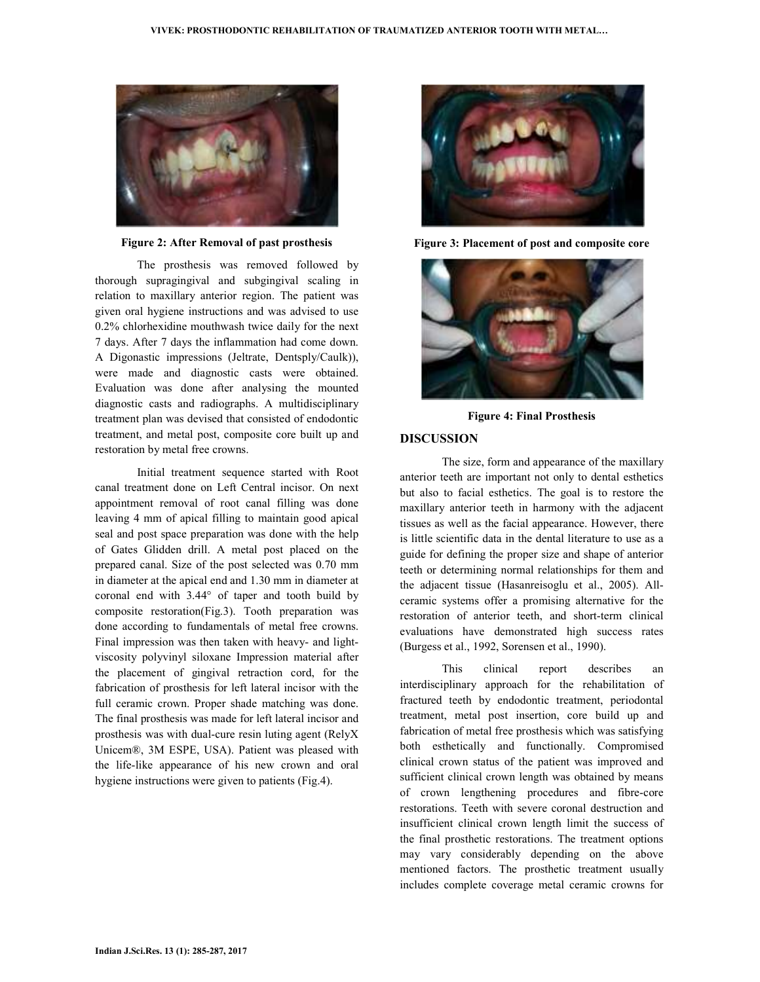

**Figure 2: After Removal of past prosthesis** 

The prosthesis was removed followed by thorough supragingival and subgingival scaling in relation to maxillary anterior region. The patient was given oral hygiene instructions and was advised to use 0.2% chlorhexidine mouthwash twice daily for the next 7 days. After 7 days the inflammation had come down. A Digonastic impressions (Jeltrate, Dentsply/Caulk)), were made and diagnostic casts were obtained. Evaluation was done after analysing the mounted diagnostic casts and radiographs. A multidisciplinary treatment plan was devised that consisted of endodontic treatment, and metal post, composite core built up and restoration by metal free crowns.

Initial treatment sequence started with Root canal treatment done on Left Central incisor. On next appointment removal of root canal filling was done leaving 4 mm of apical filling to maintain good apical seal and post space preparation was done with the help of Gates Glidden drill. A metal post placed on the prepared canal. Size of the post selected was 0.70 mm in diameter at the apical end and 1.30 mm in diameter at coronal end with 3.44° of taper and tooth build by composite restoration(Fig.3). Tooth preparation was done according to fundamentals of metal free crowns. Final impression was then taken with heavy- and lightviscosity polyvinyl siloxane Impression material after the placement of gingival retraction cord, for the fabrication of prosthesis for left lateral incisor with the full ceramic crown. Proper shade matching was done. The final prosthesis was made for left lateral incisor and prosthesis was with dual-cure resin luting agent (RelyX Unicem®, 3M ESPE, USA). Patient was pleased with the life-like appearance of his new crown and oral hygiene instructions were given to patients (Fig.4).



**Figure 3: Placement of post and composite core** 



**Figure 4: Final Prosthesis** 

#### **DISCUSSION**

The size, form and appearance of the maxillary anterior teeth are important not only to dental esthetics but also to facial esthetics. The goal is to restore the maxillary anterior teeth in harmony with the adjacent tissues as well as the facial appearance. However, there is little scientific data in the dental literature to use as a guide for defining the proper size and shape of anterior teeth or determining normal relationships for them and the adjacent tissue (Hasanreisoglu et al., 2005). Allceramic systems offer a promising alternative for the restoration of anterior teeth, and short-term clinical evaluations have demonstrated high success rates (Burgess et al., 1992, Sorensen et al., 1990).

This clinical report describes an interdisciplinary approach for the rehabilitation of fractured teeth by endodontic treatment, periodontal treatment, metal post insertion, core build up and fabrication of metal free prosthesis which was satisfying both esthetically and functionally. Compromised clinical crown status of the patient was improved and sufficient clinical crown length was obtained by means of crown lengthening procedures and fibre-core restorations. Teeth with severe coronal destruction and insufficient clinical crown length limit the success of the final prosthetic restorations. The treatment options may vary considerably depending on the above mentioned factors. The prosthetic treatment usually includes complete coverage metal ceramic crowns for